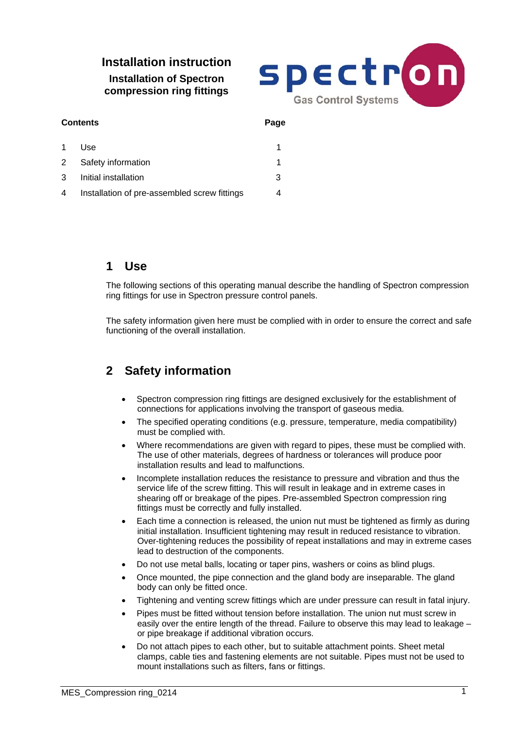# **Installation instruction Installation of Spectron compression ring fittings**



| <b>Contents</b> |                                              | Page |
|-----------------|----------------------------------------------|------|
| $\mathbf 1$     | Use                                          |      |
| 2               | Safety information                           |      |
| 3               | Initial installation                         | 3    |
| 4               | Installation of pre-assembled screw fittings |      |

# **1 Use**

The following sections of this operating manual describe the handling of Spectron compression ring fittings for use in Spectron pressure control panels.

The safety information given here must be complied with in order to ensure the correct and safe functioning of the overall installation.

# **2 Safety information**

- Spectron compression ring fittings are designed exclusively for the establishment of connections for applications involving the transport of gaseous media.
- The specified operating conditions (e.g. pressure, temperature, media compatibility) must be complied with.
- Where recommendations are given with regard to pipes, these must be complied with. The use of other materials, degrees of hardness or tolerances will produce poor installation results and lead to malfunctions.
- Incomplete installation reduces the resistance to pressure and vibration and thus the service life of the screw fitting. This will result in leakage and in extreme cases in shearing off or breakage of the pipes. Pre-assembled Spectron compression ring fittings must be correctly and fully installed.
- Each time a connection is released, the union nut must be tightened as firmly as during initial installation. Insufficient tightening may result in reduced resistance to vibration. Over-tightening reduces the possibility of repeat installations and may in extreme cases lead to destruction of the components.
- Do not use metal balls, locating or taper pins, washers or coins as blind plugs.
- Once mounted, the pipe connection and the gland body are inseparable. The gland body can only be fitted once.
- Tightening and venting screw fittings which are under pressure can result in fatal injury.
- Pipes must be fitted without tension before installation. The union nut must screw in easily over the entire length of the thread. Failure to observe this may lead to leakage or pipe breakage if additional vibration occurs.
- Do not attach pipes to each other, but to suitable attachment points. Sheet metal clamps, cable ties and fastening elements are not suitable. Pipes must not be used to mount installations such as filters, fans or fittings.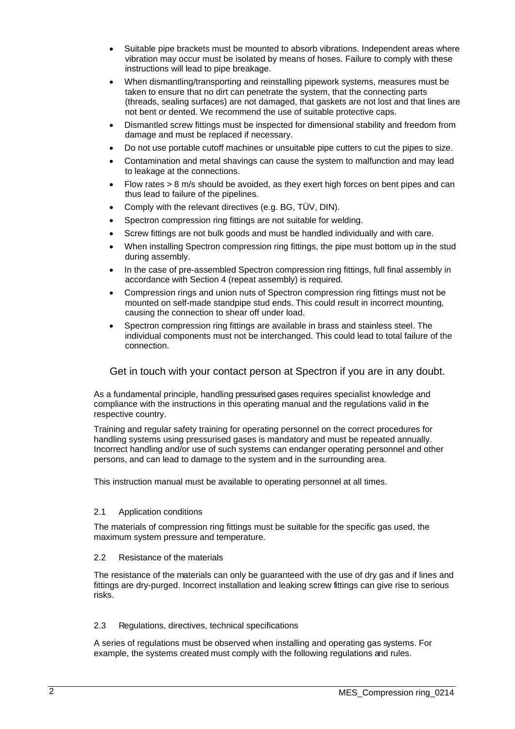- Suitable pipe brackets must be mounted to absorb vibrations. Independent areas where vibration may occur must be isolated by means of hoses. Failure to comply with these instructions will lead to pipe breakage.
- When dismantling/transporting and reinstalling pipework systems, measures must be taken to ensure that no dirt can penetrate the system, that the connecting parts (threads, sealing surfaces) are not damaged, that gaskets are not lost and that lines are not bent or dented. We recommend the use of suitable protective caps.
- Dismantled screw fittings must be inspected for dimensional stability and freedom from damage and must be replaced if necessary.
- Do not use portable cutoff machines or unsuitable pipe cutters to cut the pipes to size.
- Contamination and metal shavings can cause the system to malfunction and may lead to leakage at the connections.
- Flow rates > 8 m/s should be avoided, as they exert high forces on bent pipes and can thus lead to failure of the pipelines.
- Comply with the relevant directives (e.g. BG, TÜV, DIN).
- Spectron compression ring fittings are not suitable for welding.
- Screw fittings are not bulk goods and must be handled individually and with care.
- When installing Spectron compression ring fittings, the pipe must bottom up in the stud during assembly.
- In the case of pre-assembled Spectron compression ring fittings, full final assembly in accordance with Section 4 (repeat assembly) is required.
- Compression rings and union nuts of Spectron compression ring fittings must not be mounted on self-made standpipe stud ends. This could result in incorrect mounting, causing the connection to shear off under load.
- Spectron compression ring fittings are available in brass and stainless steel. The individual components must not be interchanged. This could lead to total failure of the connection.

Get in touch with your contact person at Spectron if you are in any doubt.

 As a fundamental principle, handling pressurised gases requires specialist knowledge and compliance with the instructions in this operating manual and the regulations valid in the respective country.

Training and regular safety training for operating personnel on the correct procedures for handling systems using pressurised gases is mandatory and must be repeated annually. Incorrect handling and/or use of such systems can endanger operating personnel and other persons, and can lead to damage to the system and in the surrounding area.

This instruction manual must be available to operating personnel at all times.

#### 2.1 Application conditions

 The materials of compression ring fittings must be suitable for the specific gas used, the maximum system pressure and temperature.

#### 2.2 Resistance of the materials

The resistance of the materials can only be guaranteed with the use of dry gas and if lines and fittings are dry-purged. Incorrect installation and leaking screw fittings can give rise to serious risks.

### 2.3 Regulations, directives, technical specifications

A series of regulations must be observed when installing and operating gas systems. For example, the systems created must comply with the following regulations and rules.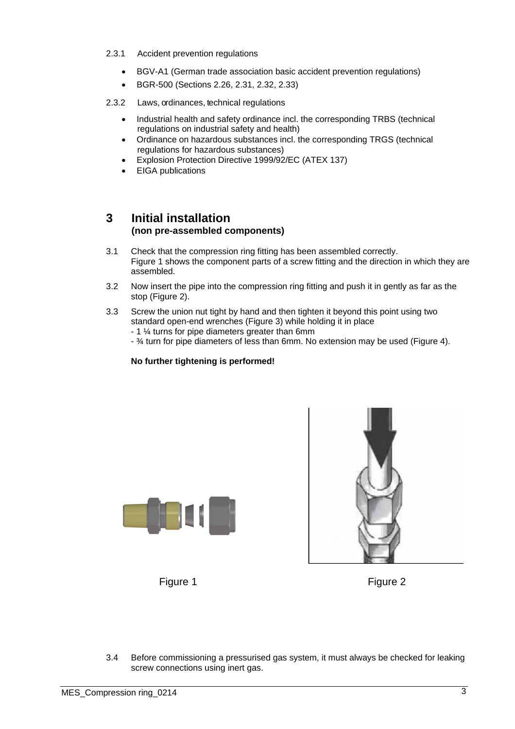- 2.3.1 Accident prevention regulations
	- BGV-A1 (German trade association basic accident prevention regulations)
	- BGR-500 (Sections 2.26, 2.31, 2.32, 2.33)
- 2.3.2 Laws, ordinances, technical regulations
	- Industrial health and safety ordinance incl. the corresponding TRBS (technical regulations on industrial safety and health)
	- Ordinance on hazardous substances incl. the corresponding TRGS (technical regulations for hazardous substances)
	- Explosion Protection Directive 1999/92/EC (ATEX 137)
	- EIGA publications

# **3 Initial installation (non pre-assembled components)**

- 3.1 Check that the compression ring fitting has been assembled correctly. Figure 1 shows the component parts of a screw fitting and the direction in which they are assembled.
- 3.2 Now insert the pipe into the compression ring fitting and push it in gently as far as the stop (Figure 2).
- 3.3 Screw the union nut tight by hand and then tighten it beyond this point using two standard open-end wrenches (Figure 3) while holding it in place
	- 1 ¼ turns for pipe diameters greater than 6mm
	- ¾ turn for pipe diameters of less than 6mm. No extension may be used (Figure 4).

### **No further tightening is performed!**





Figure 1 Figure 2

3.4 Before commissioning a pressurised gas system, it must always be checked for leaking screw connections using inert gas.